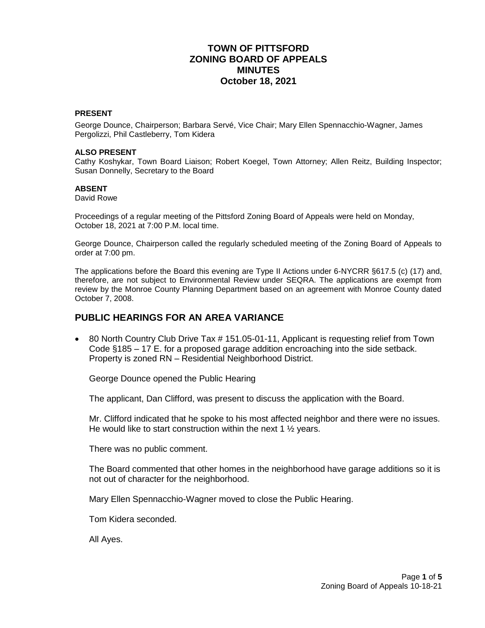# **TOWN OF PITTSFORD ZONING BOARD OF APPEALS MINUTES October 18, 2021**

#### **PRESENT**

George Dounce, Chairperson; Barbara Servé, Vice Chair; Mary Ellen Spennacchio-Wagner, James Pergolizzi, Phil Castleberry, Tom Kidera

#### **ALSO PRESENT**

Cathy Koshykar, Town Board Liaison; Robert Koegel, Town Attorney; Allen Reitz, Building Inspector; Susan Donnelly, Secretary to the Board

#### **ABSENT**

David Rowe

Proceedings of a regular meeting of the Pittsford Zoning Board of Appeals were held on Monday, October 18, 2021 at 7:00 P.M. local time.

George Dounce, Chairperson called the regularly scheduled meeting of the Zoning Board of Appeals to order at 7:00 pm.

The applications before the Board this evening are Type II Actions under 6-NYCRR §617.5 (c) (17) and, therefore, are not subject to Environmental Review under SEQRA. The applications are exempt from review by the Monroe County Planning Department based on an agreement with Monroe County dated October 7, 2008.

#### **PUBLIC HEARINGS FOR AN AREA VARIANCE**

• 80 North Country Club Drive Tax # 151.05-01-11, Applicant is requesting relief from Town Code §185 – 17 E. for a proposed garage addition encroaching into the side setback. Property is zoned RN – Residential Neighborhood District.

George Dounce opened the Public Hearing

The applicant, Dan Clifford, was present to discuss the application with the Board.

Mr. Clifford indicated that he spoke to his most affected neighbor and there were no issues. He would like to start construction within the next 1 ½ years.

There was no public comment.

The Board commented that other homes in the neighborhood have garage additions so it is not out of character for the neighborhood.

Mary Ellen Spennacchio-Wagner moved to close the Public Hearing.

Tom Kidera seconded.

All Ayes.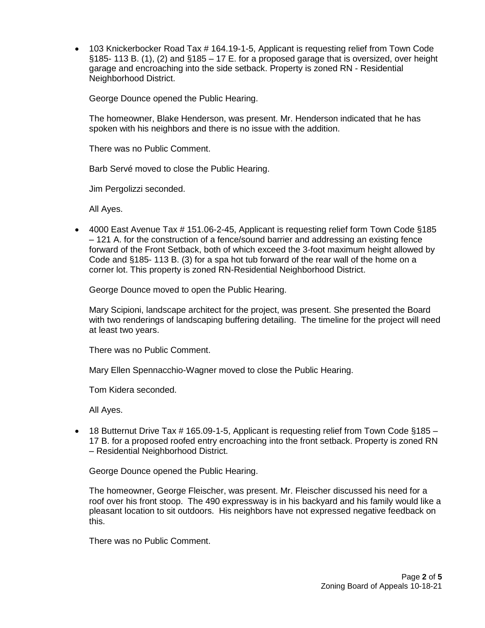• 103 Knickerbocker Road Tax # 164.19-1-5, Applicant is requesting relief from Town Code §185- 113 B. (1), (2) and §185 – 17 E. for a proposed garage that is oversized, over height garage and encroaching into the side setback. Property is zoned RN - Residential Neighborhood District.

George Dounce opened the Public Hearing.

The homeowner, Blake Henderson, was present. Mr. Henderson indicated that he has spoken with his neighbors and there is no issue with the addition.

There was no Public Comment.

Barb Servé moved to close the Public Hearing.

Jim Pergolizzi seconded.

All Ayes.

 4000 East Avenue Tax # 151.06-2-45, Applicant is requesting relief form Town Code §185 – 121 A. for the construction of a fence/sound barrier and addressing an existing fence forward of the Front Setback, both of which exceed the 3-foot maximum height allowed by Code and §185- 113 B. (3) for a spa hot tub forward of the rear wall of the home on a corner lot. This property is zoned RN-Residential Neighborhood District.

George Dounce moved to open the Public Hearing.

Mary Scipioni, landscape architect for the project, was present. She presented the Board with two renderings of landscaping buffering detailing. The timeline for the project will need at least two years.

There was no Public Comment.

Mary Ellen Spennacchio-Wagner moved to close the Public Hearing.

Tom Kidera seconded.

All Ayes.

 18 Butternut Drive Tax # 165.09-1-5, Applicant is requesting relief from Town Code §185 – 17 B. for a proposed roofed entry encroaching into the front setback. Property is zoned RN – Residential Neighborhood District.

George Dounce opened the Public Hearing.

The homeowner, George Fleischer, was present. Mr. Fleischer discussed his need for a roof over his front stoop. The 490 expressway is in his backyard and his family would like a pleasant location to sit outdoors. His neighbors have not expressed negative feedback on this.

There was no Public Comment.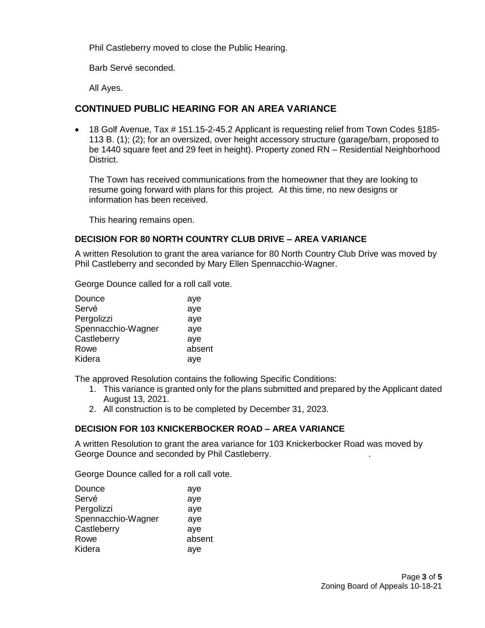Phil Castleberry moved to close the Public Hearing.

Barb Servé seconded.

All Ayes.

# **CONTINUED PUBLIC HEARING FOR AN AREA VARIANCE**

• 18 Golf Avenue, Tax # 151.15-2-45.2 Applicant is requesting relief from Town Codes §185-113 B. (1); (2); for an oversized, over height accessory structure (garage/barn, proposed to be 1440 square feet and 29 feet in height). Property zoned RN – Residential Neighborhood District.

The Town has received communications from the homeowner that they are looking to resume going forward with plans for this project. At this time, no new designs or information has been received.

This hearing remains open.

### **DECISION FOR 80 NORTH COUNTRY CLUB DRIVE – AREA VARIANCE**

A written Resolution to grant the area variance for 80 North Country Club Drive was moved by Phil Castleberry and seconded by Mary Ellen Spennacchio-Wagner.

George Dounce called for a roll call vote.

| Dounce             | aye    |
|--------------------|--------|
| Servé              | aye    |
| Pergolizzi         | aye    |
| Spennacchio-Wagner | aye    |
| Castleberry        | aye    |
| Rowe               | absent |
| Kidera             | aye    |

The approved Resolution contains the following Specific Conditions:

- 1. This variance is granted only for the plans submitted and prepared by the Applicant dated August 13, 2021.
- 2. All construction is to be completed by December 31, 2023.

### **DECISION FOR 103 KNICKERBOCKER ROAD – AREA VARIANCE**

A written Resolution to grant the area variance for 103 Knickerbocker Road was moved by George Dounce and seconded by Phil Castleberry. .

George Dounce called for a roll call vote.

| Dounce             | aye    |
|--------------------|--------|
| Servé              | aye    |
| Pergolizzi         | aye    |
| Spennacchio-Wagner | aye    |
| Castleberry        | aye    |
| Rowe               | absent |
| Kidera             | aye    |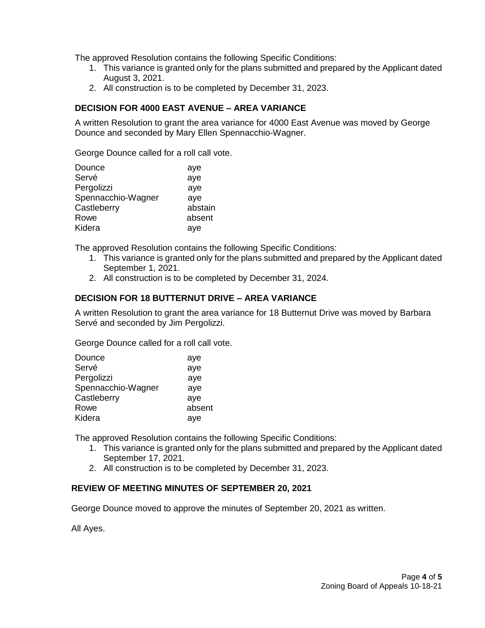The approved Resolution contains the following Specific Conditions:

- 1. This variance is granted only for the plans submitted and prepared by the Applicant dated August 3, 2021.
- 2. All construction is to be completed by December 31, 2023.

## **DECISION FOR 4000 EAST AVENUE – AREA VARIANCE**

A written Resolution to grant the area variance for 4000 East Avenue was moved by George Dounce and seconded by Mary Ellen Spennacchio-Wagner.

George Dounce called for a roll call vote.

| Dounce             | aye     |
|--------------------|---------|
| Servé              | aye     |
| Pergolizzi         | aye     |
| Spennacchio-Wagner | aye     |
| Castleberry        | abstain |
| Rowe               | absent  |
| Kidera             | aye     |

The approved Resolution contains the following Specific Conditions:

- 1. This variance is granted only for the plans submitted and prepared by the Applicant dated September 1, 2021.
- 2. All construction is to be completed by December 31, 2024.

### **DECISION FOR 18 BUTTERNUT DRIVE – AREA VARIANCE**

A written Resolution to grant the area variance for 18 Butternut Drive was moved by Barbara Servé and seconded by Jim Pergolizzi.

George Dounce called for a roll call vote.

| Dounce             | aye    |
|--------------------|--------|
| Servé              | aye    |
| Pergolizzi         | aye    |
| Spennacchio-Wagner | aye    |
| Castleberry        | aye    |
| Rowe               | absent |
| Kidera             | ave    |

The approved Resolution contains the following Specific Conditions:

- 1. This variance is granted only for the plans submitted and prepared by the Applicant dated September 17, 2021.
- 2. All construction is to be completed by December 31, 2023.

### **REVIEW OF MEETING MINUTES OF SEPTEMBER 20, 2021**

George Dounce moved to approve the minutes of September 20, 2021 as written.

All Ayes.